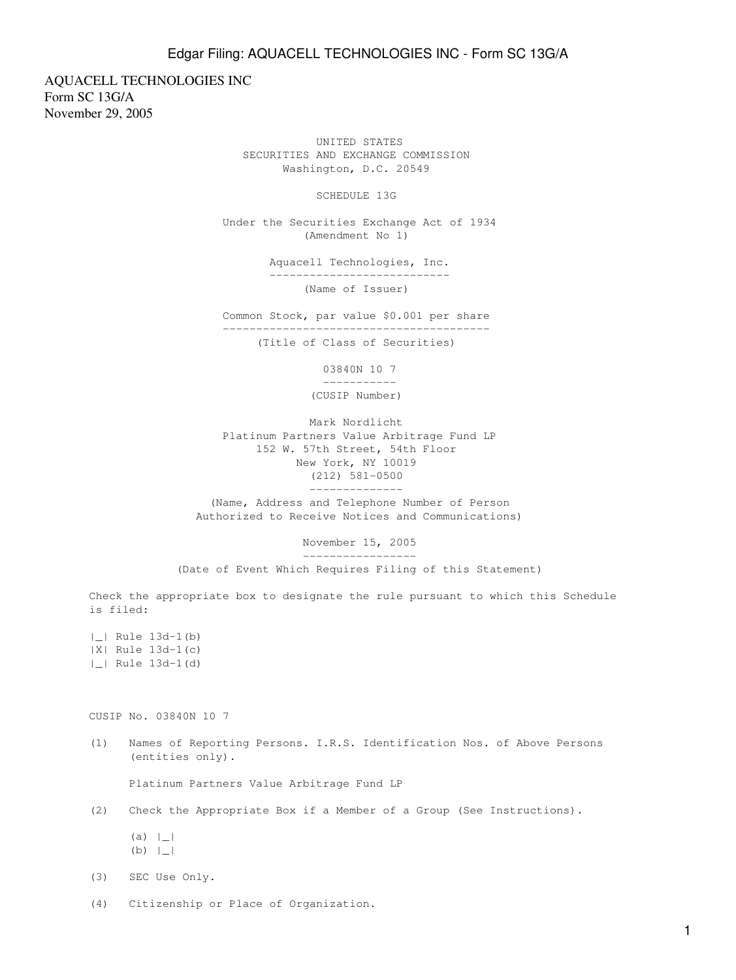## Edgar Filing: AQUACELL TECHNOLOGIES INC - Form SC 13G/A

AQUACELL TECHNOLOGIES INC Form SC 13G/A November 29, 2005

> UNITED STATES SECURITIES AND EXCHANGE COMMISSION Washington, D.C. 20549

> > SCHEDULE 13G

 Under the Securities Exchange Act of 1934 (Amendment No 1)

> Aquacell Technologies, Inc. --------------------------- (Name of Issuer)

 Common Stock, par value \$0.001 per share ----------------------------------------

(Title of Class of Securities)

 03840N 10 7 ----------- (CUSIP Number)

 Mark Nordlicht Platinum Partners Value Arbitrage Fund LP 152 W. 57th Street, 54th Floor New York, NY 10019 (212) 581-0500

 (Name, Address and Telephone Number of Person Authorized to Receive Notices and Communications)

--------------

 November 15, 2005 -----------------

(Date of Event Which Requires Filing of this Statement)

Check the appropriate box to designate the rule pursuant to which this Schedule is filed:

|\_| Rule 13d-1(b) |X| Rule 13d-1(c) |\_| Rule 13d-1(d)

CUSIP No. 03840N 10 7

(1) Names of Reporting Persons. I.R.S. Identification Nos. of Above Persons (entities only).

Platinum Partners Value Arbitrage Fund LP

(2) Check the Appropriate Box if a Member of a Group (See Instructions).

 $(a) |_$ (b) |\_|

(3) SEC Use Only.

(4) Citizenship or Place of Organization.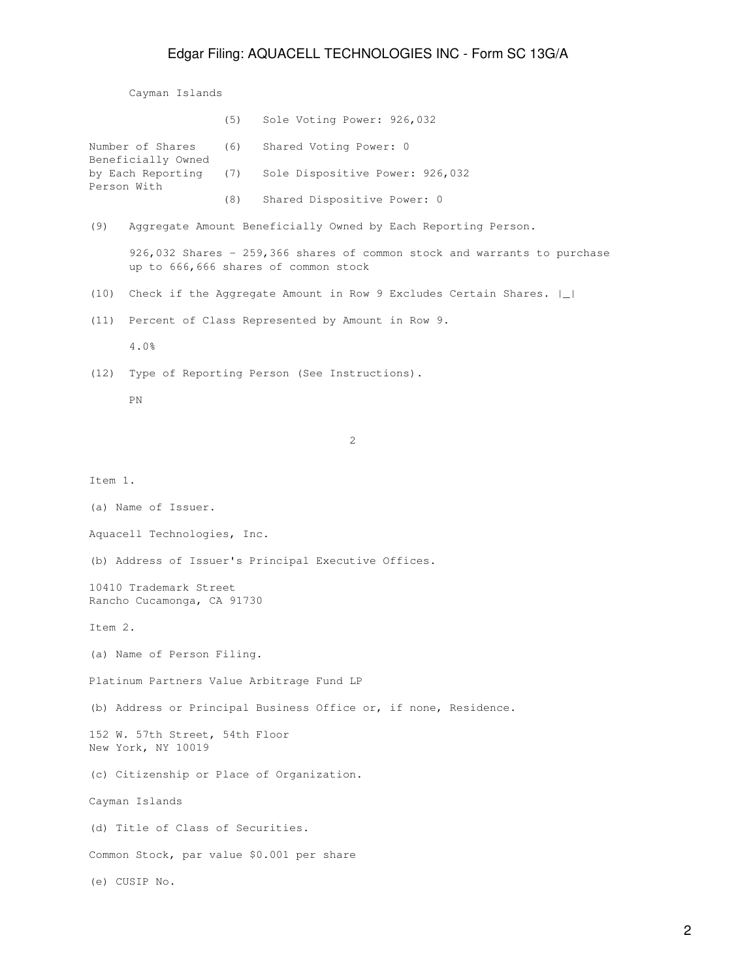## Edgar Filing: AQUACELL TECHNOLOGIES INC - Form SC 13G/A

Cayman Islands

|                                        |     | (5) Sole Voting Power: 926,032                                |
|----------------------------------------|-----|---------------------------------------------------------------|
| Number of Shares<br>Beneficially Owned |     | (6) Shared Voting Power: 0                                    |
| by Each Reporting (7)<br>Person With   |     | Sole Dispositive Power: 926,032                               |
|                                        | (8) | Shared Dispositive Power: 0                                   |
| (9)                                    |     | Aggregate Amount Beneficially Owned by Each Reporting Person. |

 926,032 Shares - 259,366 shares of common stock and warrants to purchase up to 666,666 shares of common stock

- (10) Check if the Aggregate Amount in Row 9 Excludes Certain Shares. |\_|
- (11) Percent of Class Represented by Amount in Row 9.

4.0%

(12) Type of Reporting Person (See Instructions).

PN

2

Item 1. (a) Name of Issuer. Aquacell Technologies, Inc. (b) Address of Issuer's Principal Executive Offices. 10410 Trademark Street Rancho Cucamonga, CA 91730 Item 2. (a) Name of Person Filing. Platinum Partners Value Arbitrage Fund LP (b) Address or Principal Business Office or, if none, Residence. 152 W. 57th Street, 54th Floor New York, NY 10019 (c) Citizenship or Place of Organization. Cayman Islands (d) Title of Class of Securities. Common Stock, par value \$0.001 per share (e) CUSIP No.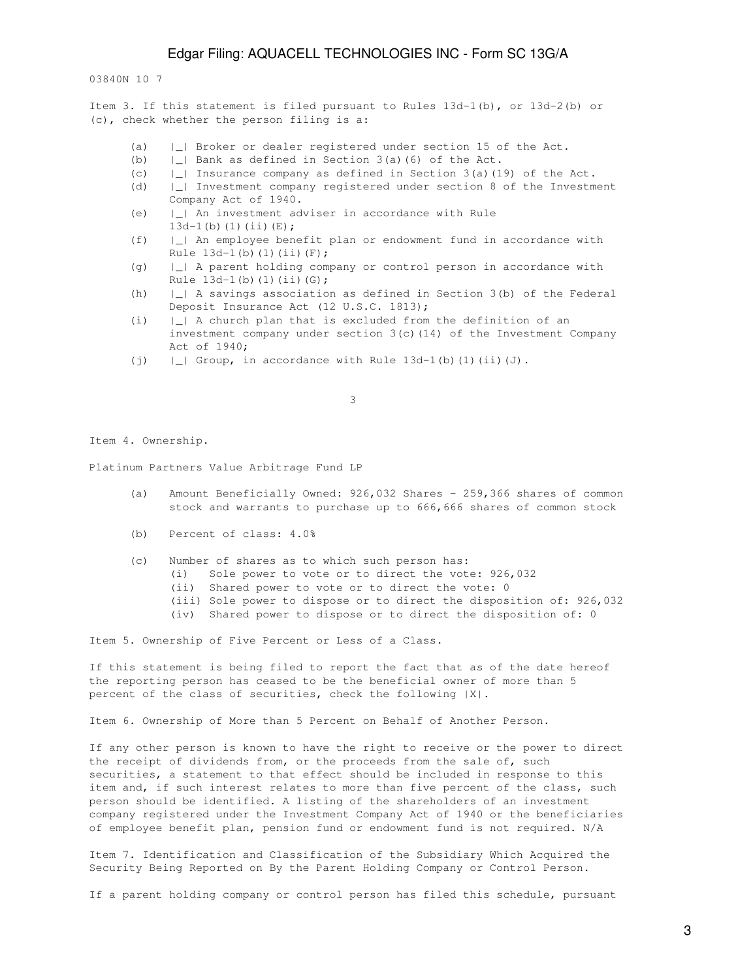03840N 10 7

Item 3. If this statement is filed pursuant to Rules 13d-1(b), or 13d-2(b) or (c), check whether the person filing is a:

- (a) |\_| Broker or dealer registered under section 15 of the Act.
- (b)  $\vert \_ \vert$  Bank as defined in Section 3(a)(6) of the Act.
- (c)  $\vert \_ \vert$  Insurance company as defined in Section 3(a)(19) of the Act.
- (d) |\_| Investment company registered under section 8 of the Investment Company Act of 1940.
- (e) |\_| An investment adviser in accordance with Rule  $13d-1(b)(1)(ii)(E);$
- (f) |\_| An employee benefit plan or endowment fund in accordance with Rule  $13d-1(b)$  (1)(ii)(F);
- (g) |\_| A parent holding company or control person in accordance with Rule  $13d-1(b)(1)(ii)(G);$
- (h) |\_| A savings association as defined in Section 3(b) of the Federal Deposit Insurance Act (12 U.S.C. 1813);
- (i) |\_| A church plan that is excluded from the definition of an investment company under section 3(c)(14) of the Investment Company Act of 1940;
- (j)  $|\_|$  Group, in accordance with Rule 13d-1(b)(1)(ii)(J).

 $\sim$  3

Item 4. Ownership.

Platinum Partners Value Arbitrage Fund LP

- (a) Amount Beneficially Owned: 926,032 Shares 259,366 shares of common stock and warrants to purchase up to 666,666 shares of common stock
- (b) Percent of class: 4.0%
- (c) Number of shares as to which such person has:
	- (i) Sole power to vote or to direct the vote: 926,032
	- (ii) Shared power to vote or to direct the vote: 0
	- (iii) Sole power to dispose or to direct the disposition of: 926,032
	- (iv) Shared power to dispose or to direct the disposition of: 0

Item 5. Ownership of Five Percent or Less of a Class.

If this statement is being filed to report the fact that as of the date hereof the reporting person has ceased to be the beneficial owner of more than 5 percent of the class of securities, check the following |X|.

Item 6. Ownership of More than 5 Percent on Behalf of Another Person.

If any other person is known to have the right to receive or the power to direct the receipt of dividends from, or the proceeds from the sale of, such securities, a statement to that effect should be included in response to this item and, if such interest relates to more than five percent of the class, such person should be identified. A listing of the shareholders of an investment company registered under the Investment Company Act of 1940 or the beneficiaries of employee benefit plan, pension fund or endowment fund is not required. N/A

Item 7. Identification and Classification of the Subsidiary Which Acquired the Security Being Reported on By the Parent Holding Company or Control Person.

If a parent holding company or control person has filed this schedule, pursuant